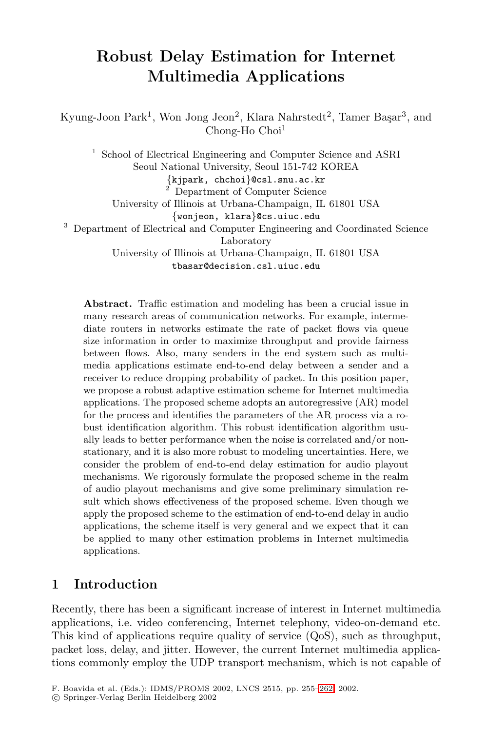# **Robust Delay Estimation for Internet Multimedia Applications**

Kyung-Joon Park<sup>1</sup>, Won Jong Jeon<sup>2</sup>, Klara Nahrstedt<sup>2</sup>, Tamer Başar<sup>3</sup>, and Chong-Ho Choi<sup>1</sup>

<sup>1</sup> School of Electrical Engineering and Computer Science and ASRI Seoul National University, Seoul 151-742 KOREA  $\{\text{kjpark, chchoi}\}$ @csl.snu.ac.kr <sup>2</sup> Department of Computer Science University of Illinois at Urbana-Champaign, IL 61801 USA {wonjeon, klara}@cs.uiuc.edu

<sup>3</sup> Department of Electrical and Computer Engineering and Coordinated Science Laboratory

> University of Illinois at Urbana-Champaign, IL 61801 USA tbasar@decision.csl.uiuc.edu

**Abstract.** Traffic estimation and modeling has been a crucial issue in many research areas of communication networks. For example, intermediate routers in networks estimate the rate of packet flows via queue size information in order to maximize throughput and provide fairness between flows. Also, many senders in the end system such as multimedia applications estimate end-to-end delay between a sender and a receiver to reduce dropping probability of packet. In this position paper, we propose a robust adaptive estimation scheme for Internet multimedia applications. The proposed scheme adopts an autoregressive (AR) model for the process and identifies the parameters of the AR process via a robust identification algorithm. This robust identification algorithm usually leads to better performance when the noise is correlated and/or nonstationary, and it is also more robust to modeling uncertainties. Here, we consider the problem of end-to-end delay estimation for audio playout mechanisms. We rigorously formulate the proposed scheme in the realm of audio playout mechanisms and give some preliminary simulation result which shows effectiveness of the proposed scheme. Even though we apply the proposed scheme to the estimation of end-to-end delay in audio applications, the scheme itself is very general and we expect that it can be applied to many other estimation problems in Internet multimedia applications.

## **1 Introduction**

Recently, there has been a significant increase of interest in Internet multimedia applications, i.e. video conferencing, Internet telephony, video-on-demand etc. This kind of applications require quality of service (QoS), such as throughput, packet loss, delay, and jitter. However, the current Internet multimedia applications commonly employ the UDP transport mechanism, which is not capable of

F. Boavida et al. (Eds.): IDMS/PROMS 2002, LNCS 2515, pp. 255–262, 2002.

c Springer-Verlag Berlin Heidelberg 2002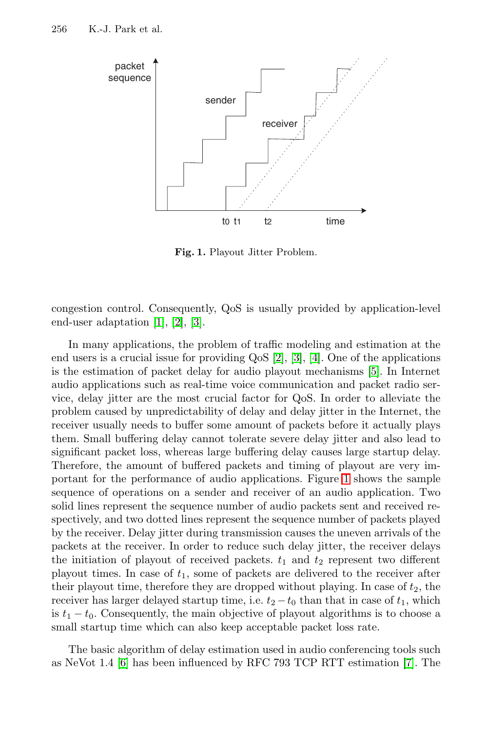

**Fig. 1.** Playout Jitter Problem.

congestion control. Consequently, QoS is usually provided by application-level end-user adaptation [\[1\]](#page-6-0), [\[2\]](#page-6-0), [\[3\]](#page-6-0).

In many applications, the problem of traffic modeling and estimation at the end users is a crucial issue for providing QoS [\[2\]](#page-6-0), [\[3\]](#page-6-0), [\[4\]](#page-6-0). One of the applications is the estimation of packet delay for audio playout mechanisms [\[5\]](#page-6-0). In Internet audio applications such as real-time voice communication and packet radio service, delay jitter are the most crucial factor for QoS. In order to alleviate the problem caused by unpredictability of delay and delay jitter in the Internet, the receiver usually needs to buffer some amount of packets before it actually plays them. Small buffering delay cannot tolerate severe delay jitter and also lead to significant packet loss, whereas large buffering delay causes large startup delay. Therefore, the amount of buffered packets and timing of playout are very important for the performance of audio applications. Figure 1 shows the sample sequence of operations on a sender and receiver of an audio application. Two solid lines represent the sequence number of audio packets sent and received respectively, and two dotted lines represent the sequence number of packets played by the receiver. Delay jitter during transmission causes the uneven arrivals of the packets at the receiver. In order to reduce such delay jitter, the receiver delays the initiation of playout of received packets.  $t_1$  and  $t_2$  represent two different playout times. In case of  $t_1$ , some of packets are delivered to the receiver after their playout time, therefore they are dropped without playing. In case of  $t_2$ , the receiver has larger delayed startup time, i.e.  $t_2 - t_0$  than that in case of  $t_1$ , which is  $t_1 - t_0$ . Consequently, the main objective of playout algorithms is to choose a small startup time which can also keep acceptable packet loss rate.

The basic algorithm of delay estimation used in audio conferencing tools such as NeVot 1.4 [\[6\]](#page-6-0) has been influenced by RFC 793 TCP RTT estimation [\[7\]](#page-7-0). The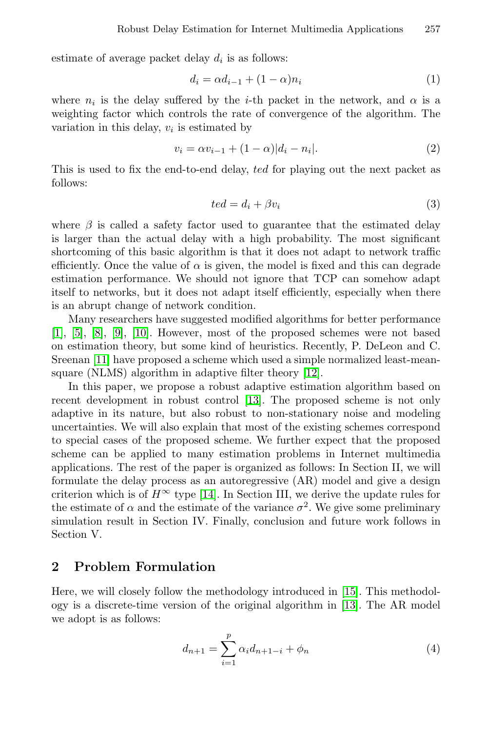<span id="page-2-0"></span>estimate of average packet delay  $d_i$  is as follows:

$$
d_i = \alpha d_{i-1} + (1 - \alpha)n_i \tag{1}
$$

where  $n_i$  is the delay suffered by the *i*-th packet in the network, and  $\alpha$  is a weighting factor which controls the rate of convergence of the algorithm. The variation in this delay,  $v_i$  is estimated by

$$
v_i = \alpha v_{i-1} + (1 - \alpha)|d_i - n_i|.
$$
 (2)

This is used to fix the end-to-end delay, ted for playing out the next packet as follows:

$$
ted = d_i + \beta v_i \tag{3}
$$

where  $\beta$  is called a safety factor used to guarantee that the estimated delay is larger than the actual delay with a high probability. The most significant shortcoming of this basic algorithm is that it does not adapt to network traffic efficiently. Once the value of  $\alpha$  is given, the model is fixed and this can degrade estimation performance. We should not ignore that TCP can somehow adapt itself to networks, but it does not adapt itself efficiently, especially when there is an abrupt change of network condition.

Many researchers have suggested modified algorithms for better performance [\[1\]](#page-6-0), [\[5\]](#page-6-0), [\[8\]](#page-7-0), [\[9\]](#page-7-0), [\[10\]](#page-7-0). However, most of the proposed schemes were not based on estimation theory, but some kind of heuristics. Recently, P. DeLeon and C. Sreenan [\[11\]](#page-7-0) have proposed a scheme which used a simple normalized least-meansquare (NLMS) algorithm in adaptive filter theory [\[12\]](#page-7-0).

In this paper, we propose a robust adaptive estimation algorithm based on recent development in robust control [\[13\]](#page-7-0). The proposed scheme is not only adaptive in its nature, but also robust to non-stationary noise and modeling uncertainties. We will also explain that most of the existing schemes correspond to special cases of the proposed scheme. We further expect that the proposed scheme can be applied to many estimation problems in Internet multimedia applications. The rest of the paper is organized as follows: In Section II, we will formulate the delay process as an autoregressive (AR) model and give a design criterion which is of  $H^{\infty}$  type [\[14\]](#page-7-0). In Section III, we derive the update rules for the estimate of  $\alpha$  and the estimate of the variance  $\sigma^2$ . We give some preliminary simulation result in Section IV. Finally, conclusion and future work follows in Section V.

## **2 Problem Formulation**

Here, we will closely follow the methodology introduced in [\[15\]](#page-7-0). This methodology is a discrete-time version of the original algorithm in [\[13\]](#page-7-0). The AR model we adopt is as follows:

$$
d_{n+1} = \sum_{i=1}^{p} \alpha_i d_{n+1-i} + \phi_n \tag{4}
$$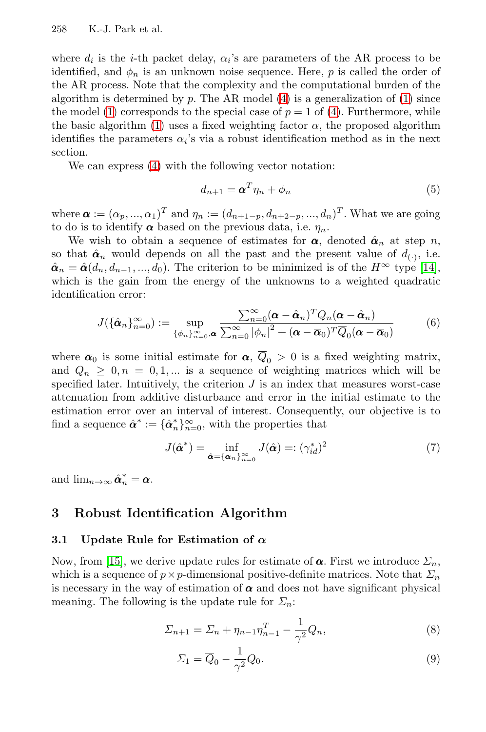<span id="page-3-0"></span>where  $d_i$  is the *i*-th packet delay,  $\alpha_i$ 's are parameters of the AR process to be identified, and  $\phi_n$  is an unknown noise sequence. Here, p is called the order of the AR process. Note that the complexity and the computational burden of the algorithm is determined by p. The AR model  $(4)$  is a generalization of  $(1)$  since the model [\(1\)](#page-2-0) corresponds to the special case of  $p = 1$  of [\(4\)](#page-2-0). Furthermore, while the basic algorithm [\(1\)](#page-2-0) uses a fixed weighting factor  $\alpha$ , the proposed algorithm identifies the parameters  $\alpha_i$ 's via a robust identification method as in the next section.

We can express [\(4\)](#page-2-0) with the following vector notation:

$$
d_{n+1} = \boldsymbol{\alpha}^T \eta_n + \phi_n \tag{5}
$$

where  $\boldsymbol{\alpha} := (\alpha_p, ..., \alpha_1)^T$  and  $\eta_n := (d_{n+1-p}, d_{n+2-p}, ..., d_n)^T$ . What we are going to do is to identify  $\alpha$  based on the previous data, i.e.  $\eta_n$ .

We wish to obtain a sequence of estimates for  $\alpha$ , denoted  $\hat{\alpha}_n$  at step n, so that  $\hat{\boldsymbol{\alpha}}_n$  would depends on all the past and the present value of  $d_{(\cdot)}$ , i.e.  $\hat{\boldsymbol{\alpha}}_n = \hat{\boldsymbol{\alpha}}(d_n, d_{n-1}, ..., d_0)$ . The criterion to be minimized is of the  $H^\infty$  type [\[14\]](#page-7-0), which is the gain from the energy of the unknowns to a weighted quadratic identification error:

$$
J(\{\hat{\pmb{\alpha}}_n\}_{n=0}^{\infty}) := \sup_{\{\phi_n\}_{n=0}^{\infty},\pmb{\alpha}} \frac{\sum_{n=0}^{\infty} (\pmb{\alpha} - \hat{\pmb{\alpha}}_n)^T Q_n(\pmb{\alpha} - \hat{\pmb{\alpha}}_n)}{\sum_{n=0}^{\infty} |\phi_n|^2 + (\pmb{\alpha} - \overline{\pmb{\alpha}}_0)^T \overline{Q}_0(\pmb{\alpha} - \overline{\pmb{\alpha}}_0)}
$$
(6)

where  $\bar{\alpha}_0$  is some initial estimate for  $\alpha$ ,  $\bar{Q}_0 > 0$  is a fixed weighting matrix, and  $Q_n \geq 0, n = 0, 1, ...$  is a sequence of weighting matrices which will be specified later. Intuitively, the criterion  $J$  is an index that measures worst-case attenuation from additive disturbance and error in the initial estimate to the estimation error over an interval of interest. Consequently, our objective is to find a sequence  $\hat{\boldsymbol{\alpha}}^* := {\hat{\boldsymbol{\alpha}}_n^*}_{n=0}^{\infty}$ , with the properties that

$$
J(\hat{\boldsymbol{\alpha}}^*) = \inf_{\hat{\boldsymbol{\alpha}} = {\{\boldsymbol{\alpha}_n\}}_{n=0}^{\infty}} J(\hat{\boldsymbol{\alpha}}) =: (\gamma_{id}^*)^2
$$
 (7)

and  $\lim_{n\to\infty} \hat{\boldsymbol{\alpha}}_n^* = \boldsymbol{\alpha}$ .

## **3 Robust Identification Algorithm**

#### **3.1 Update Rule for Estimation of** *α*

Now, from [\[15\]](#page-7-0), we derive update rules for estimate of  $\alpha$ . First we introduce  $\Sigma_n$ , which is a sequence of  $p \times p$ -dimensional positive-definite matrices. Note that  $\Sigma_n$ is necessary in the way of estimation of  $\alpha$  and does not have significant physical meaning. The following is the update rule for  $\Sigma_n$ :

$$
\Sigma_{n+1} = \Sigma_n + \eta_{n-1} \eta_{n-1}^T - \frac{1}{\gamma^2} Q_n,
$$
\n(8)

$$
\Sigma_1 = \overline{Q}_0 - \frac{1}{\gamma^2} Q_0. \tag{9}
$$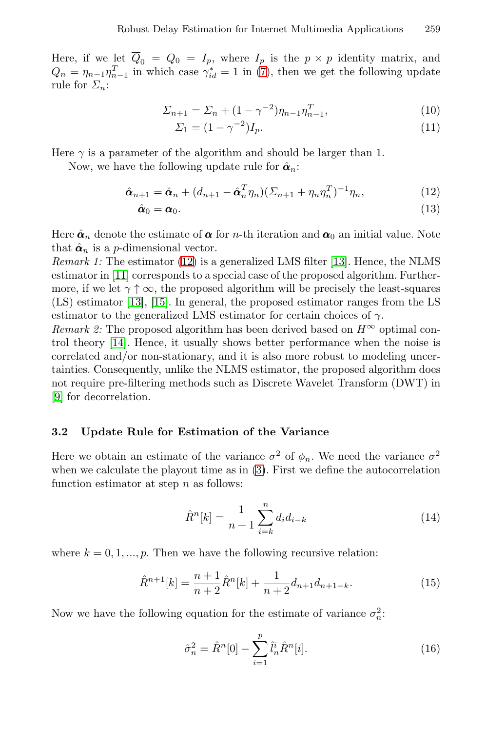<span id="page-4-0"></span>Here, if we let  $\overline{Q}_0 = Q_0 = I_p$ , where  $I_p$  is the  $p \times p$  identity matrix, and  $Q_n = \eta_{n-1} \eta_{n-1}^T$  in which case  $\gamma_{id}^* = 1$  in [\(7\)](#page-3-0), then we get the following update rule for  $\Sigma_n$ :

$$
\Sigma_{n+1} = \Sigma_n + (1 - \gamma^{-2})\eta_{n-1}\eta_{n-1}^T,\tag{10}
$$

$$
\Sigma_1 = (1 - \gamma^{-2})I_p.
$$
\n(11)

Here  $\gamma$  is a parameter of the algorithm and should be larger than 1.

Now, we have the following update rule for  $\hat{\boldsymbol{\alpha}}_n$ :

$$
\hat{\boldsymbol{\alpha}}_{n+1} = \hat{\boldsymbol{\alpha}}_n + (d_{n+1} - \hat{\boldsymbol{\alpha}}_n^T \eta_n)(\Sigma_{n+1} + \eta_n \eta_n^T)^{-1} \eta_n, \tag{12}
$$

$$
\hat{\boldsymbol{\alpha}}_0 = \boldsymbol{\alpha}_0. \tag{13}
$$

Here  $\hat{\alpha}_n$  denote the estimate of  $\alpha$  for *n*-th iteration and  $\alpha_0$  an initial value. Note that  $\hat{\boldsymbol{\alpha}}_n$  is a *p*-dimensional vector.

Remark 1: The estimator (12) is a generalized LMS filter [\[13\]](#page-7-0). Hence, the NLMS estimator in [\[11\]](#page-7-0) corresponds to a special case of the proposed algorithm. Furthermore, if we let  $\gamma \uparrow \infty$ , the proposed algorithm will be precisely the least-squares (LS) estimator [\[13\]](#page-7-0), [\[15\]](#page-7-0). In general, the proposed estimator ranges from the LS estimator to the generalized LMS estimator for certain choices of  $\gamma$ .

Remark 2: The proposed algorithm has been derived based on  $H^{\infty}$  optimal control theory [\[14\]](#page-7-0). Hence, it usually shows better performance when the noise is correlated and/or non-stationary, and it is also more robust to modeling uncertainties. Consequently, unlike the NLMS estimator, the proposed algorithm does not require pre-filtering methods such as Discrete Wavelet Transform (DWT) in [\[9\]](#page-7-0) for decorrelation.

#### **3.2 Update Rule for Estimation of the Variance**

Here we obtain an estimate of the variance  $\sigma^2$  of  $\phi_n$ . We need the variance  $\sigma^2$ when we calculate the playout time as in [\(3\)](#page-2-0). First we define the autocorrelation function estimator at step  $n$  as follows:

$$
\hat{R}^n[k] = \frac{1}{n+1} \sum_{i=k}^n d_i d_{i-k} \tag{14}
$$

where  $k = 0, 1, ..., p$ . Then we have the following recursive relation:

$$
\hat{R}^{n+1}[k] = \frac{n+1}{n+2}\hat{R}^n[k] + \frac{1}{n+2}d_{n+1}d_{n+1-k}.
$$
\n(15)

Now we have the following equation for the estimate of variance  $\sigma_n^2$ .

$$
\hat{\sigma}_n^2 = \hat{R}^n[0] - \sum_{i=1}^p \hat{l}_n^i \hat{R}^n[i].
$$
\n(16)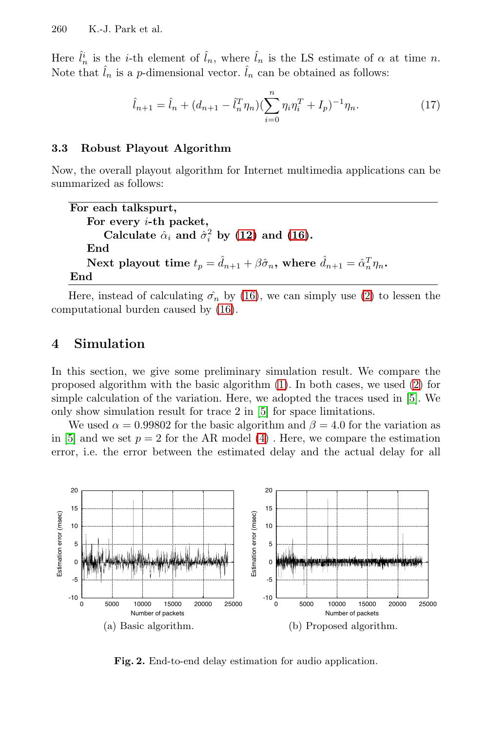<span id="page-5-0"></span>Here  $\hat{l}_n^i$  is the *i*-th element of  $\hat{l}_n$ , where  $\hat{l}_n$  is the LS estimate of  $\alpha$  at time *n*. Note that  $\hat{l}_n$  is a *p*-dimensional vector.  $\hat{l}_n$  can be obtained as follows:

$$
\hat{l}_{n+1} = \hat{l}_n + (d_{n+1} - \hat{l}_n^T \eta_n) (\sum_{i=0}^n \eta_i \eta_i^T + I_p)^{-1} \eta_n.
$$
 (17)

#### **3.3 Robust Playout Algorithm**

Now, the overall playout algorithm for Internet multimedia applications can be summarized as follows:

```
For each talkspurt,
    For every i-th packet,
         Calculate \hat{\alpha}_i and \hat{\sigma}_i^2(12)(16).
    End
     Next playout time t_p = \hat{d}_{n+1} + \beta \hat{\sigma}_n, where \hat{d}_{n+1} = \hat{\alpha}_n^T \eta_n.
End
```
Here, instead of calculating  $\hat{\sigma_n}$  by [\(16\)](#page-4-0), we can simply use [\(2\)](#page-2-0) to lessen the computational burden caused by [\(16\)](#page-4-0).

# **4 Simulation**

In this section, we give some preliminary simulation result. We compare the proposed algorithm with the basic algorithm [\(1\)](#page-2-0). In both cases, we used [\(2\)](#page-2-0) for simple calculation of the variation. Here, we adopted the traces used in [\[5\]](#page-6-0). We only show simulation result for trace 2 in [\[5\]](#page-6-0) for space limitations.

We used  $\alpha = 0.99802$  for the basic algorithm and  $\beta = 4.0$  for the variation as in [\[5\]](#page-6-0) and we set  $p = 2$  for the AR model [\(4\)](#page-2-0). Here, we compare the estimation error, i.e. the error between the estimated delay and the actual delay for all



**Fig. 2.** End-to-end delay estimation for audio application.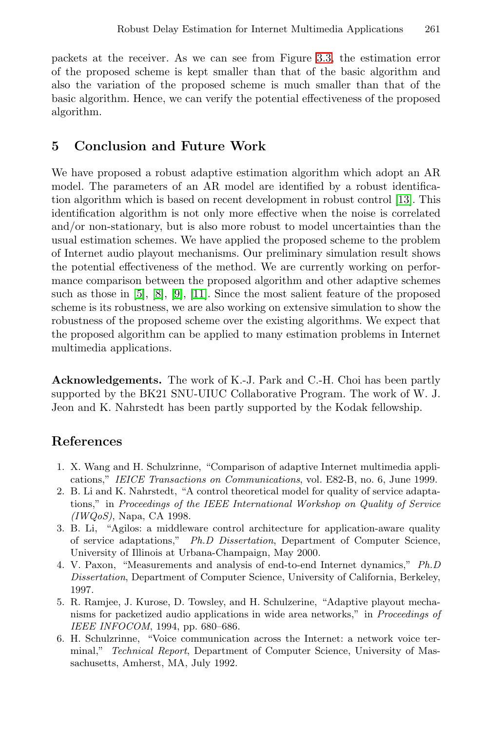<span id="page-6-0"></span>packets at the receiver. As we can see from Figure [3.3,](#page-5-0) the estimation error of the proposed scheme is kept smaller than that of the basic algorithm and also the variation of the proposed scheme is much smaller than that of the basic algorithm. Hence, we can verify the potential effectiveness of the proposed algorithm.

# **5 Conclusion and Future Work**

We have proposed a robust adaptive estimation algorithm which adopt an AR model. The parameters of an AR model are identified by a robust identification algorithm which is based on recent development in robust control [\[13\]](#page-7-0). This identification algorithm is not only more effective when the noise is correlated and/or non-stationary, but is also more robust to model uncertainties than the usual estimation schemes. We have applied the proposed scheme to the problem of Internet audio playout mechanisms. Our preliminary simulation result shows the potential effectiveness of the method. We are currently working on performance comparison between the proposed algorithm and other adaptive schemes such as those in [5], [\[8\]](#page-7-0), [\[9\]](#page-7-0), [\[11\]](#page-7-0). Since the most salient feature of the proposed scheme is its robustness, we are also working on extensive simulation to show the robustness of the proposed scheme over the existing algorithms. We expect that the proposed algorithm can be applied to many estimation problems in Internet multimedia applications.

**Acknowledgements.** The work of K.-J. Park and C.-H. Choi has been partly supported by the BK21 SNU-UIUC Collaborative Program. The work of W. J. Jeon and K. Nahrstedt has been partly supported by the Kodak fellowship.

# **References**

- 1. X. Wang and H. Schulzrinne, "Comparison of adaptive Internet multimedia applications," IEICE Transactions on Communications, vol. E82-B, no. 6, June 1999.
- 2. B. Li and K. Nahrstedt, "A control theoretical model for quality of service adaptations," in Proceedings of the IEEE International Workshop on Quality of Service (IWQoS), Napa, CA 1998.
- 3. B. Li, "Agilos: a middleware control architecture for application-aware quality of service adaptations," Ph.D Dissertation, Department of Computer Science, University of Illinois at Urbana-Champaign, May 2000.
- 4. V. Paxon, "Measurements and analysis of end-to-end Internet dynamics," Ph.D Dissertation, Department of Computer Science, University of California, Berkeley, 1997.
- 5. R. Ramjee, J. Kurose, D. Towsley, and H. Schulzerine, "Adaptive playout mechanisms for packetized audio applications in wide area networks," in Proceedings of IEEE INFOCOM, 1994, pp. 680–686.
- 6. H. Schulzrinne, "Voice communication across the Internet: a network voice terminal," Technical Report, Department of Computer Science, University of Massachusetts, Amherst, MA, July 1992.